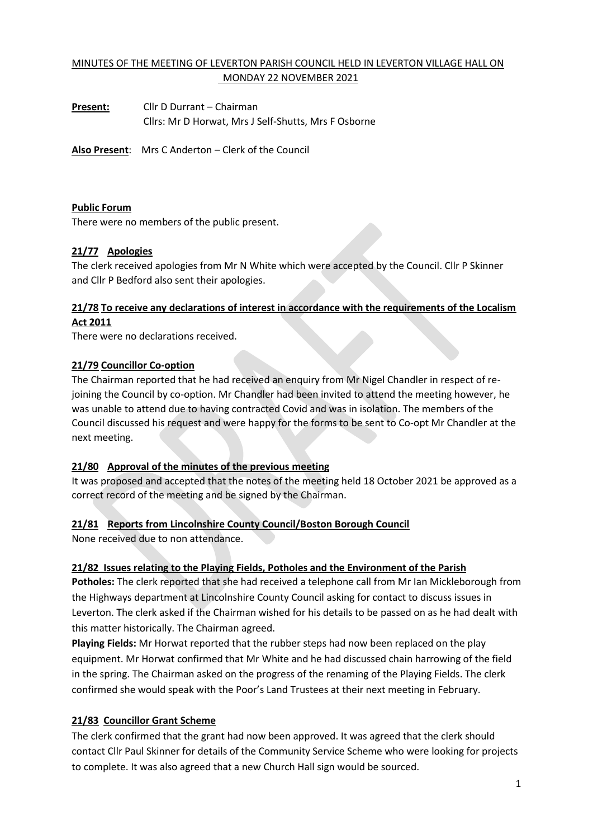# MINUTES OF THE MEETING OF LEVERTON PARISH COUNCIL HELD IN LEVERTON VILLAGE HALL ON MONDAY 22 NOVEMBER 2021

**Present:** Cllr D Durrant – Chairman Cllrs: Mr D Horwat, Mrs J Self-Shutts, Mrs F Osborne

**Also Present**: Mrs C Anderton – Clerk of the Council

#### **Public Forum**

There were no members of the public present.

## **21/77 Apologies**

The clerk received apologies from Mr N White which were accepted by the Council. Cllr P Skinner and Cllr P Bedford also sent their apologies.

# **21/78 To receive any declarations of interest in accordance with the requirements of the Localism Act 2011**

There were no declarations received.

## **21/79 Councillor Co-option**

The Chairman reported that he had received an enquiry from Mr Nigel Chandler in respect of rejoining the Council by co-option. Mr Chandler had been invited to attend the meeting however, he was unable to attend due to having contracted Covid and was in isolation. The members of the Council discussed his request and were happy for the forms to be sent to Co-opt Mr Chandler at the next meeting.

## **21/80 Approval of the minutes of the previous meeting**

It was proposed and accepted that the notes of the meeting held 18 October 2021 be approved as a correct record of the meeting and be signed by the Chairman.

## **21/81 Reports from Lincolnshire County Council/Boston Borough Council**

None received due to non attendance.

#### **21/82 Issues relating to the Playing Fields, Potholes and the Environment of the Parish**

**Potholes:** The clerk reported that she had received a telephone call from Mr Ian Mickleborough from the Highways department at Lincolnshire County Council asking for contact to discuss issues in Leverton. The clerk asked if the Chairman wished for his details to be passed on as he had dealt with this matter historically. The Chairman agreed.

**Playing Fields:** Mr Horwat reported that the rubber steps had now been replaced on the play equipment. Mr Horwat confirmed that Mr White and he had discussed chain harrowing of the field in the spring. The Chairman asked on the progress of the renaming of the Playing Fields. The clerk confirmed she would speak with the Poor's Land Trustees at their next meeting in February.

## **21/83 Councillor Grant Scheme**

The clerk confirmed that the grant had now been approved. It was agreed that the clerk should contact Cllr Paul Skinner for details of the Community Service Scheme who were looking for projects to complete. It was also agreed that a new Church Hall sign would be sourced.